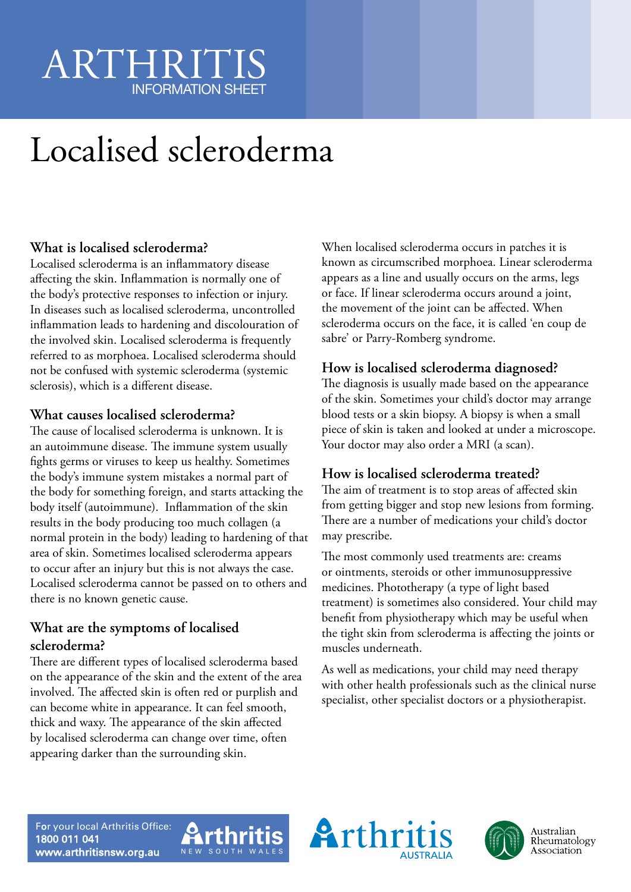## ARTHRITIS INFORMATION SHEET

# Localised scleroderma

### **What is localised scleroderma?**

Localised scleroderma is an inflammatory disease affecting the skin. Inflammation is normally one of the body's protective responses to infection or injury. In diseases such as localised scleroderma, uncontrolled inflammation leads to hardening and discolouration of the involved skin. Localised scleroderma is frequently referred to as morphoea. Localised scleroderma should not be confused with systemic scleroderma (systemic sclerosis), which is a different disease.

### **What causes localised scleroderma?**

The cause of localised scleroderma is unknown. It is an autoimmune disease. The immune system usually fights germs or viruses to keep us healthy. Sometimes the body's immune system mistakes a normal part of the body for something foreign, and starts attacking the body itself (autoimmune). Inflammation of the skin results in the body producing too much collagen (a normal protein in the body) leading to hardening of that area of skin. Sometimes localised scleroderma appears to occur after an injury but this is not always the case. Localised scleroderma cannot be passed on to others and there is no known genetic cause.

### **What are the symptoms of localised scleroderma?**

There are different types of localised scleroderma based on the appearance of the skin and the extent of the area involved. The affected skin is often red or purplish and can become white in appearance. It can feel smooth, thick and waxy. The appearance of the skin affected by localised scleroderma can change over time, often appearing darker than the surrounding skin.

When localised scleroderma occurs in patches it is known as circumscribed morphoea. Linear scleroderma appears as a line and usually occurs on the arms, legs or face. If linear scleroderma occurs around a joint, the movement of the joint can be affected. When scleroderma occurs on the face, it is called 'en coup de sabre' or Parry-Romberg syndrome.

### **How is localised scleroderma diagnosed?**

The diagnosis is usually made based on the appearance of the skin. Sometimes your child's doctor may arrange blood tests or a skin biopsy. A biopsy is when a small piece of skin is taken and looked at under a microscope. Your doctor may also order a MRI (a scan).

### **How is localised scleroderma treated?**

The aim of treatment is to stop areas of affected skin from getting bigger and stop new lesions from forming. There are a number of medications your child's doctor may prescribe.

The most commonly used treatments are: creams or ointments, steroids or other immunosuppressive medicines. Phototherapy (a type of light based treatment) is sometimes also considered. Your child may benefit from physiotherapy which may be useful when the tight skin from scleroderma is affecting the joints or muscles underneath.

As well as medications, your child may need therapy with other health professionals such as the clinical nurse specialist, other specialist doctors or a physiotherapist.